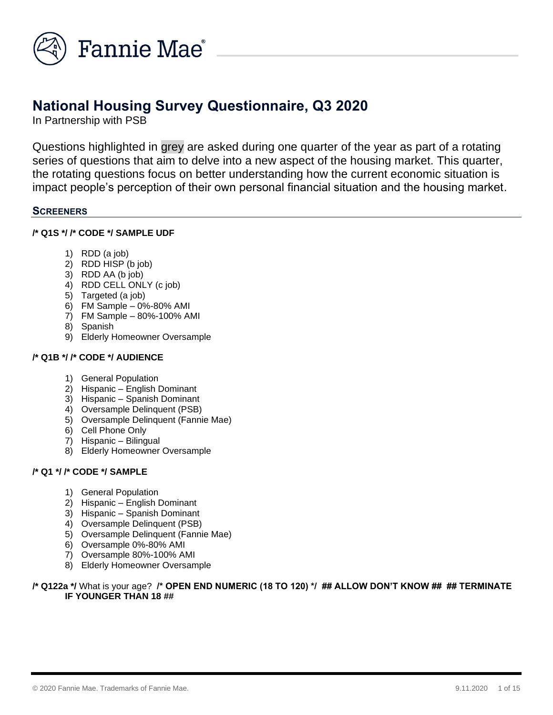

# **National Housing Survey Questionnaire, Q3 2020**

In Partnership with PSB

Questions highlighted in grey are asked during one quarter of the year as part of a rotating series of questions that aim to delve into a new aspect of the housing market. This quarter, the rotating questions focus on better understanding how the current economic situation is impact people's perception of their own personal financial situation and the housing market.

## **SCREENERS**

## **/\* Q1S \*/ /\* CODE \*/ SAMPLE UDF**

- 1) RDD (a job)
- 2) RDD HISP (b job)
- 3) RDD AA (b job)
- 4) RDD CELL ONLY (c job)
- 5) Targeted (a job)
- 6) FM Sample 0%-80% AMI
- 7) FM Sample 80%-100% AMI
- 8) Spanish
- 9) Elderly Homeowner Oversample

# **/\* Q1B \*/ /\* CODE \*/ AUDIENCE**

- 1) General Population
- 2) Hispanic English Dominant
- 3) Hispanic Spanish Dominant
- 4) Oversample Delinquent (PSB)
- 5) Oversample Delinquent (Fannie Mae)
- 6) Cell Phone Only
- 7) Hispanic Bilingual
- 8) Elderly Homeowner Oversample

## **/\* Q1 \*/ /\* CODE \*/ SAMPLE**

- 1) General Population
- 2) Hispanic English Dominant
- 3) Hispanic Spanish Dominant
- 4) Oversample Delinquent (PSB)
- 5) Oversample Delinquent (Fannie Mae)
- 6) Oversample 0%-80% AMI
- 7) Oversample 80%-100% AMI
- 8) Elderly Homeowner Oversample

## **/\* Q122a \*/** What is your age? **/\* OPEN END NUMERIC (18 TO 120) \*/ ## ALLOW DON'T KNOW ## ## TERMINATE IF YOUNGER THAN 18 ##**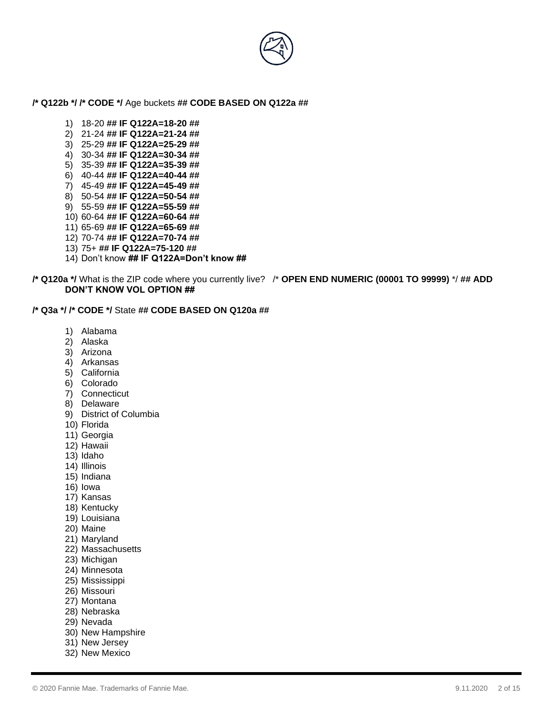

#### **/\* Q122b \*/ /\* CODE \*/** Age buckets **## CODE BASED ON Q122a ##**

- 1) 18-20 **## IF Q122A=18-20 ##**
- 2) 21-24 **## IF Q122A=21-24 ##**
- 3) 25-29 **## IF Q122A=25-29 ##**
- 4) 30-34 **## IF Q122A=30-34 ##**
- 5) 35-39 **## IF Q122A=35-39 ##**
- 6) 40-44 **## IF Q122A=40-44 ##**
- 7) 45-49 **## IF Q122A=45-49 ##**
- 8) 50-54 **## IF Q122A=50-54 ##**
- 9) 55-59 **## IF Q122A=55-59 ##**
- 10) 60-64 **## IF Q122A=60-64 ##**
- 11) 65-69 **## IF Q122A=65-69 ##**
- 12) 70-74 **## IF Q122A=70-74 ##**
- 13) 75+ **## IF Q122A=75-120 ##**
- 14) Don't know **## IF Q122A=Don't know ##**

**/\* Q120a \*/** What is the ZIP code where you currently live? /\* **OPEN END NUMERIC (00001 TO 99999)** \*/ **## ADD DON'T KNOW VOL OPTION ##**

#### **/\* Q3a \*/ /\* CODE \*/** State **## CODE BASED ON Q120a ##**

- 1) Alabama
- 2) Alaska
- 3) Arizona
- 4) Arkansas
- 5) California
- 6) Colorado
- 7) Connecticut
- 8) Delaware
- 9) District of Columbia
- 10) Florida
- 11) Georgia
- 12) Hawaii
- 13) Idaho
- 14) Illinois
- 15) Indiana
- 16) Iowa
- 17) Kansas
- 18) Kentucky
- 19) Louisiana
- 20) Maine
- 21) Maryland
- 22) Massachusetts
- 23) Michigan
- 24) Minnesota
- 25) Mississippi
- 26) Missouri
- 27) Montana
- 28) Nebraska
- 29) Nevada
- 
- 30) New Hampshire
- 31) New Jersey 32) New Mexico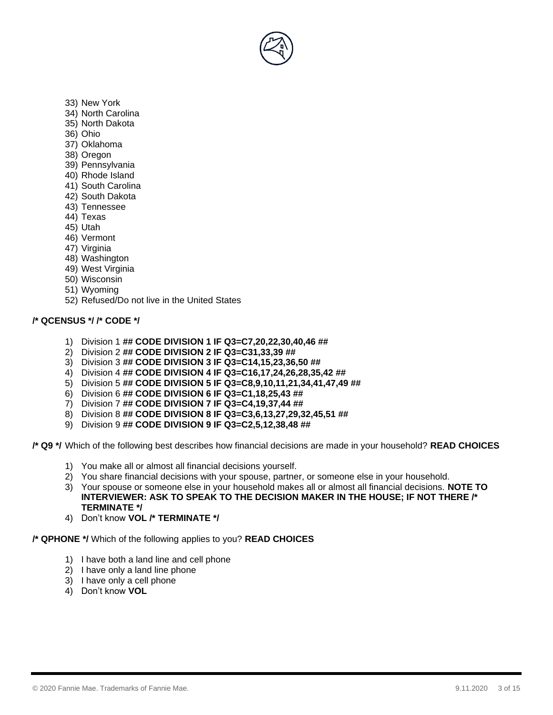

- 33) New York
- 34) North Carolina
- 35) North Dakota
- 36) Ohio
- 37) Oklahoma
- 38) Oregon
- 39) Pennsylvania
- 40) Rhode Island
- 41) South Carolina
- 42) South Dakota
- 43) Tennessee
- 44) Texas
- 45) Utah
- 46) Vermont
- 47) Virginia
- 48) Washington
- 49) West Virginia
- 50) Wisconsin
- 51) Wyoming
- 52) Refused/Do not live in the United States

## **/\* QCENSUS \*/ /\* CODE \*/**

- 1) Division 1 **## CODE DIVISION 1 IF Q3=C7,20,22,30,40,46 ##**
- 2) Division 2 **## CODE DIVISION 2 IF Q3=C31,33,39 ##**
- 3) Division 3 **## CODE DIVISION 3 IF Q3=C14,15,23,36,50 ##**
- 4) Division 4 **## CODE DIVISION 4 IF Q3=C16,17,24,26,28,35,42 ##**
- 5) Division 5 **## CODE DIVISION 5 IF Q3=C8,9,10,11,21,34,41,47,49 ##**
- 6) Division 6 **## CODE DIVISION 6 IF Q3=C1,18,25,43 ##**
- 7) Division 7 **## CODE DIVISION 7 IF Q3=C4,19,37,44 ##**
- 8) Division 8 **## CODE DIVISION 8 IF Q3=C3,6,13,27,29,32,45,51 ##**
- 9) Division 9 **## CODE DIVISION 9 IF Q3=C2,5,12,38,48 ##**

**/\* Q9 \*/** Which of the following best describes how financial decisions are made in your household? **READ CHOICES**

- 1) You make all or almost all financial decisions yourself.
- 2) You share financial decisions with your spouse, partner, or someone else in your household.
- 3) Your spouse or someone else in your household makes all or almost all financial decisions. **NOTE TO INTERVIEWER: ASK TO SPEAK TO THE DECISION MAKER IN THE HOUSE; IF NOT THERE /\* TERMINATE \*/**
- 4) Don't know **VOL /\* TERMINATE \*/**

#### **/\* QPHONE \*/** Which of the following applies to you? **READ CHOICES**

- 1) I have both a land line and cell phone
- 2) I have only a land line phone
- 3) I have only a cell phone
- 4) Don't know **VOL**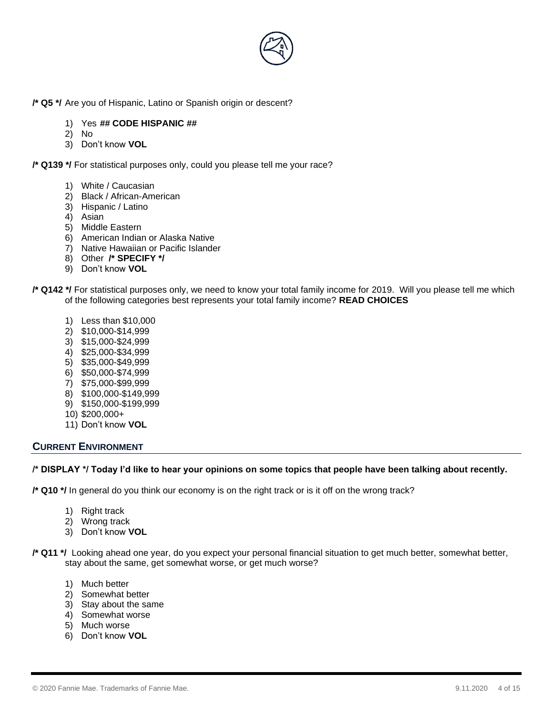

**/\* Q5 \*/** Are you of Hispanic, Latino or Spanish origin or descent?

- 1) Yes **## CODE HISPANIC ##**
- 2) No
- 3) Don't know **VOL**

**/\* Q139 \*/** For statistical purposes only, could you please tell me your race?

- 1) White / Caucasian
- 2) Black / African-American
- 3) Hispanic / Latino
- 4) Asian
- 5) Middle Eastern
- 6) American Indian or Alaska Native
- 7) Native Hawaiian or Pacific Islander
- 8) Other **/\* SPECIFY \*/**
- 9) Don't know **VOL**
- **/\* Q142 \*/** For statistical purposes only, we need to know your total family income for 2019. Will you please tell me which of the following categories best represents your total family income? **READ CHOICES**
	- 1) Less than \$10,000
	- 2) \$10,000-\$14,999
	- 3) \$15,000-\$24,999
	- 4) \$25,000-\$34,999
	- 5) \$35,000-\$49,999
	- 6) \$50,000-\$74,999
	- 7) \$75,000-\$99,999
	- 8) \$100,000-\$149,999
	- 9) \$150,000-\$199,999
	- 10) \$200,000+
	- 11) Don't know **VOL**

## **CURRENT ENVIRONMENT**

#### **/\* DISPLAY \*/ Today I'd like to hear your opinions on some topics that people have been talking about recently.**

**/\* Q10 \*/** In general do you think our economy is on the right track or is it off on the wrong track?

- 1) Right track
- 2) Wrong track
- 3) Don't know **VOL**

**/\* Q11 \*/** Looking ahead one year, do you expect your personal financial situation to get much better, somewhat better, stay about the same, get somewhat worse, or get much worse?

- 1) Much better
- 2) Somewhat better
- 3) Stay about the same
- 4) Somewhat worse
- 5) Much worse
- 6) Don't know **VOL**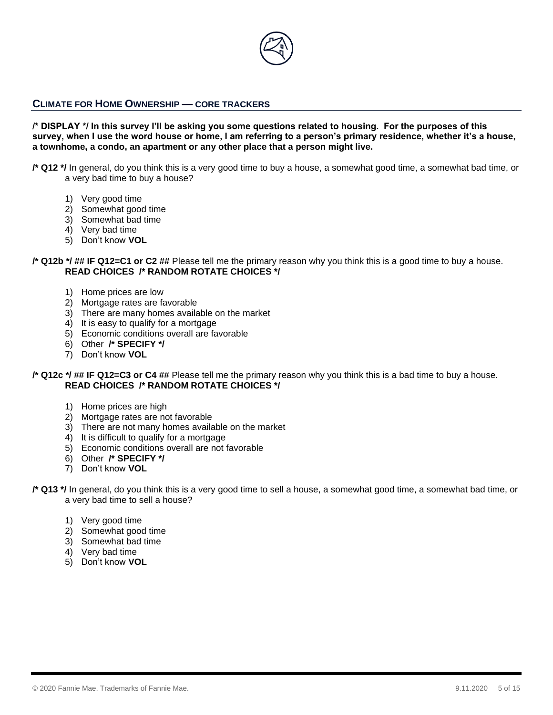

## **CLIMATE FOR HOME OWNERSHIP — CORE TRACKERS**

**/\* DISPLAY \*/ In this survey I'll be asking you some questions related to housing. For the purposes of this survey, when I use the word house or home, I am referring to a person's primary residence, whether it's a house, a townhome, a condo, an apartment or any other place that a person might live.**

**/\* Q12 \*/** In general, do you think this is a very good time to buy a house, a somewhat good time, a somewhat bad time, or a very bad time to buy a house?

- 1) Very good time
- 2) Somewhat good time
- 3) Somewhat bad time
- 4) Very bad time
- 5) Don't know **VOL**

**/\* Q12b \*/ ## IF Q12=C1 or C2 ##** Please tell me the primary reason why you think this is a good time to buy a house. **READ CHOICES /\* RANDOM ROTATE CHOICES \*/** 

- 1) Home prices are low
- 2) Mortgage rates are favorable
- 3) There are many homes available on the market
- 4) It is easy to qualify for a mortgage
- 5) Economic conditions overall are favorable
- 6) Other **/\* SPECIFY \*/**
- 7) Don't know **VOL**

**/\* Q12c \*/ ## IF Q12=C3 or C4 ##** Please tell me the primary reason why you think this is a bad time to buy a house. **READ CHOICES /\* RANDOM ROTATE CHOICES \*/**

- 1) Home prices are high
- 2) Mortgage rates are not favorable
- 3) There are not many homes available on the market
- 4) It is difficult to qualify for a mortgage
- 5) Economic conditions overall are not favorable
- 6) Other **/\* SPECIFY \*/**
- 7) Don't know **VOL**
- **/\* Q13 \*/** In general, do you think this is a very good time to sell a house, a somewhat good time, a somewhat bad time, or a very bad time to sell a house?
	- 1) Very good time
	- 2) Somewhat good time
	- 3) Somewhat bad time
	- 4) Very bad time
	- 5) Don't know **VOL**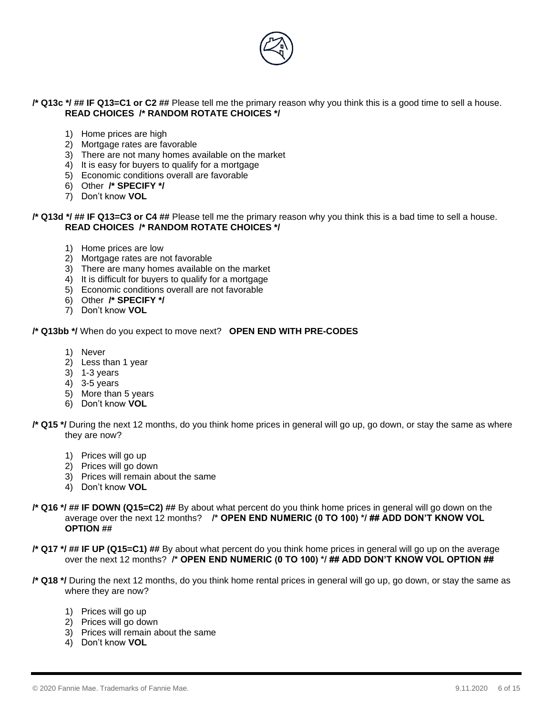

#### **/\* Q13c \*/ ## IF Q13=C1 or C2 ##** Please tell me the primary reason why you think this is a good time to sell a house. **READ CHOICES /\* RANDOM ROTATE CHOICES \*/**

- 1) Home prices are high
- 2) Mortgage rates are favorable
- 3) There are not many homes available on the market
- 4) It is easy for buyers to qualify for a mortgage
- 5) Economic conditions overall are favorable
- 6) Other **/\* SPECIFY \*/**
- 7) Don't know **VOL**

#### **/\* Q13d \*/ ## IF Q13=C3 or C4 ##** Please tell me the primary reason why you think this is a bad time to sell a house. **READ CHOICES /\* RANDOM ROTATE CHOICES \*/**

- 1) Home prices are low
- 2) Mortgage rates are not favorable
- 3) There are many homes available on the market
- 4) It is difficult for buyers to qualify for a mortgage
- 5) Economic conditions overall are not favorable
- 6) Other **/\* SPECIFY \*/**
- 7) Don't know **VOL**

#### **/\* Q13bb \*/** When do you expect to move next? **OPEN END WITH PRE-CODES**

- 1) Never
- 2) Less than 1 year
- 3) 1-3 years
- 4) 3-5 years
- 5) More than 5 years
- 6) Don't know **VOL**
- **/\* Q15 \*/** During the next 12 months, do you think home prices in general will go up, go down, or stay the same as where they are now?
	- 1) Prices will go up
	- 2) Prices will go down
	- 3) Prices will remain about the same
	- 4) Don't know **VOL**
- **/\* Q16 \*/ ## IF DOWN (Q15=C2) ##** By about what percent do you think home prices in general will go down on the average over the next 12 months? **/\* OPEN END NUMERIC (0 TO 100) \*/ ## ADD DON'T KNOW VOL OPTION ##**
- **/\* Q17 \*/ ## IF UP (Q15=C1) ##** By about what percent do you think home prices in general will go up on the average over the next 12 months? **/\* OPEN END NUMERIC (0 TO 100) \*/ ## ADD DON'T KNOW VOL OPTION ##**
- **/\* Q18 \*/** During the next 12 months, do you think home rental prices in general will go up, go down, or stay the same as where they are now?
	- 1) Prices will go up
	- 2) Prices will go down
	- 3) Prices will remain about the same
	- 4) Don't know **VOL**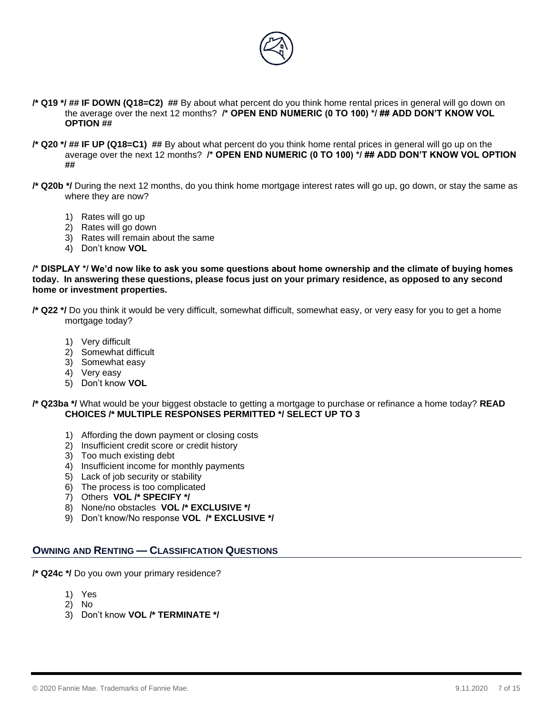

- **/\* Q19 \*/ ## IF DOWN (Q18=C2) ##** By about what percent do you think home rental prices in general will go down on the average over the next 12 months? **/\* OPEN END NUMERIC (0 TO 100) \*/ ## ADD DON'T KNOW VOL OPTION ##**
- **/\* Q20 \*/ ## IF UP (Q18=C1) ##** By about what percent do you think home rental prices in general will go up on the average over the next 12 months? **/\* OPEN END NUMERIC (0 TO 100) \*/ ## ADD DON'T KNOW VOL OPTION ##**
- **/\* Q20b \*/** During the next 12 months, do you think home mortgage interest rates will go up, go down, or stay the same as where they are now?
	- 1) Rates will go up
	- 2) Rates will go down
	- 3) Rates will remain about the same
	- 4) Don't know **VOL**

**/\* DISPLAY \*/ We'd now like to ask you some questions about home ownership and the climate of buying homes today. In answering these questions, please focus just on your primary residence, as opposed to any second home or investment properties.** 

- **/\* Q22 \*/** Do you think it would be very difficult, somewhat difficult, somewhat easy, or very easy for you to get a home mortgage today?
	- 1) Very difficult
	- 2) Somewhat difficult
	- 3) Somewhat easy
	- 4) Very easy
	- 5) Don't know **VOL**
- **/\* Q23ba \*/** What would be your biggest obstacle to getting a mortgage to purchase or refinance a home today? **READ CHOICES /\* MULTIPLE RESPONSES PERMITTED \*/ SELECT UP TO 3**
	- 1) Affording the down payment or closing costs
	- 2) Insufficient credit score or credit history
	- 3) Too much existing debt
	- 4) Insufficient income for monthly payments
	- 5) Lack of job security or stability
	- 6) The process is too complicated
	- 7) Others **VOL /\* SPECIFY \*/**
	- 8) None/no obstacles **VOL /\* EXCLUSIVE \*/**
	- 9) Don't know/No response **VOL /\* EXCLUSIVE \*/**

## **OWNING AND RENTING — CLASSIFICATION QUESTIONS**

**/\* Q24c \*/** Do you own your primary residence?

- 1) Yes
- 2) No
- 3) Don't know **VOL /\* TERMINATE \*/**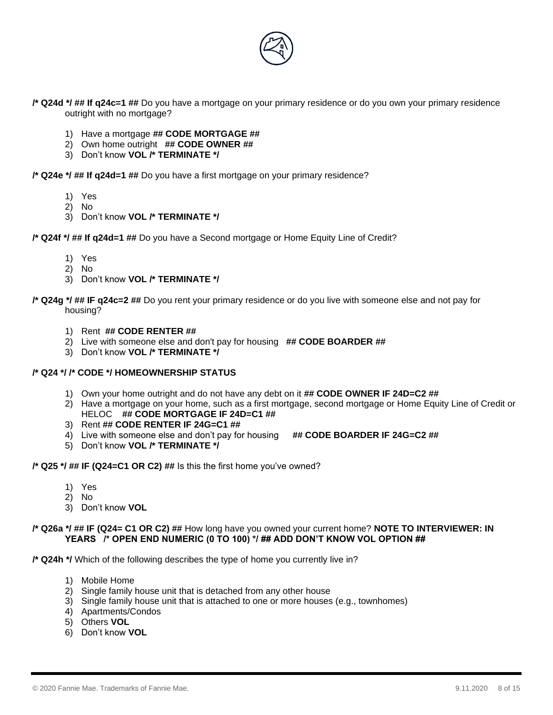

- **/\* Q24d \*/ ## If q24c=1 ##** Do you have a mortgage on your primary residence or do you own your primary residence outright with no mortgage?
	- 1) Have a mortgage **## CODE MORTGAGE ##**
	- 2) Own home outright **## CODE OWNER ##**
	- 3) Don't know **VOL /\* TERMINATE \*/**

**/\* Q24e \*/ ## If q24d=1 ##** Do you have a first mortgage on your primary residence?

- 1) Yes
- 2) No
- 3) Don't know **VOL /\* TERMINATE \*/**

**/\* Q24f \*/ ## If q24d=1 ##** Do you have a Second mortgage or Home Equity Line of Credit?

- 1) Yes
- 2) No
- 3) Don't know **VOL /\* TERMINATE \*/**

**/\* Q24g \*/ ## IF q24c=2 ##** Do you rent your primary residence or do you live with someone else and not pay for housing?

- 1) Rent **## CODE RENTER ##**
- 2) Live with someone else and don't pay for housing **## CODE BOARDER ##**
- 3) Don't know **VOL /\* TERMINATE \*/**

#### **/\* Q24 \*/ /\* CODE \*/ HOMEOWNERSHIP STATUS**

- 1) Own your home outright and do not have any debt on it **## CODE OWNER IF 24D=C2 ##**
- 2) Have a mortgage on your home, such as a first mortgage, second mortgage or Home Equity Line of Credit or HELOC **## CODE MORTGAGE IF 24D=C1 ##**
- 3) Rent **## CODE RENTER IF 24G=C1 ##**
- 4) Live with someone else and don't pay for housing **## CODE BOARDER IF 24G=C2 ##**
- 5) Don't know **VOL /\* TERMINATE \*/**

**/\* Q25 \*/ ## IF (Q24=C1 OR C2) ##** Is this the first home you've owned?

- 1) Yes
- 2) No
- 3) Don't know **VOL**

#### **/\* Q26a \*/ ## IF (Q24= C1 OR C2) ##** How long have you owned your current home? **NOTE TO INTERVIEWER: IN YEARS /\* OPEN END NUMERIC (0 TO 100) \*/ ## ADD DON'T KNOW VOL OPTION ##**

**/\* Q24h \*/** Which of the following describes the type of home you currently live in?

- 1) Mobile Home
- 2) Single family house unit that is detached from any other house
- 3) Single family house unit that is attached to one or more houses (e.g., townhomes)
- 4) Apartments/Condos
- 5) Others **VOL**
- 6) Don't know **VOL**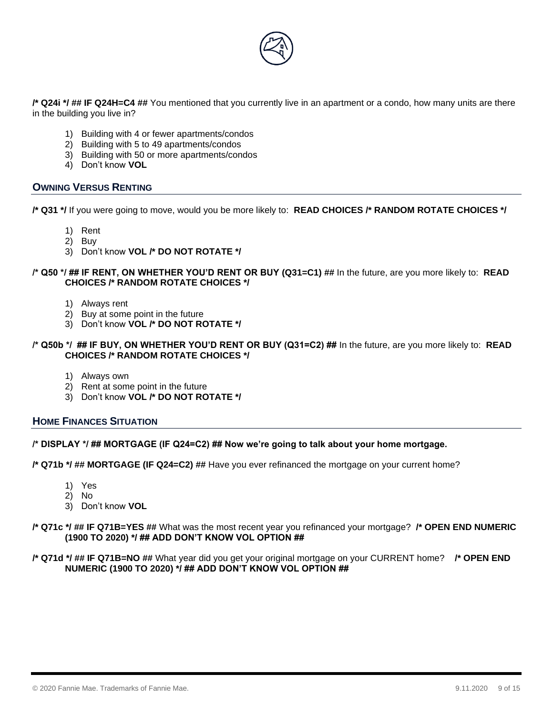

**/\* Q24i \*/ ## IF Q24H=C4 ##** You mentioned that you currently live in an apartment or a condo, how many units are there in the building you live in?

- 1) Building with 4 or fewer apartments/condos
- 2) Building with 5 to 49 apartments/condos
- 3) Building with 50 or more apartments/condos
- 4) Don't know **VOL**

## **OWNING VERSUS RENTING**

**/\* Q31 \*/** If you were going to move, would you be more likely to: **READ CHOICES /\* RANDOM ROTATE CHOICES \*/**

- 1) Rent
- 2) Buy
- 3) Don't know **VOL /\* DO NOT ROTATE \*/**

#### **/\* Q50 \*/ ## IF RENT, ON WHETHER YOU'D RENT OR BUY (Q31=C1) ##** In the future, are you more likely to: **READ CHOICES /\* RANDOM ROTATE CHOICES \*/**

- 1) Always rent
- 2) Buy at some point in the future
- 3) Don't know **VOL /\* DO NOT ROTATE \*/**

#### **/\* Q50b \*/ ## IF BUY, ON WHETHER YOU'D RENT OR BUY (Q31=C2) ##** In the future, are you more likely to: **READ CHOICES /\* RANDOM ROTATE CHOICES \*/**

- 1) Always own
- 2) Rent at some point in the future
- 3) Don't know **VOL /\* DO NOT ROTATE \*/**

#### **HOME FINANCES SITUATION**

#### **/\* DISPLAY \*/ ## MORTGAGE (IF Q24=C2) ## Now we're going to talk about your home mortgage.**

**/\* Q71b \*/ ## MORTGAGE (IF Q24=C2) ##** Have you ever refinanced the mortgage on your current home?

- 1) Yes
- 2) No
- 3) Don't know **VOL**

#### **/\* Q71c \*/ ## IF Q71B=YES ##** What was the most recent year you refinanced your mortgage? **/\* OPEN END NUMERIC (1900 TO 2020) \*/ ## ADD DON'T KNOW VOL OPTION ##**

#### **/\* Q71d \*/ ## IF Q71B=NO ##** What year did you get your original mortgage on your CURRENT home? **/\* OPEN END NUMERIC (1900 TO 2020) \*/ ## ADD DON'T KNOW VOL OPTION ##**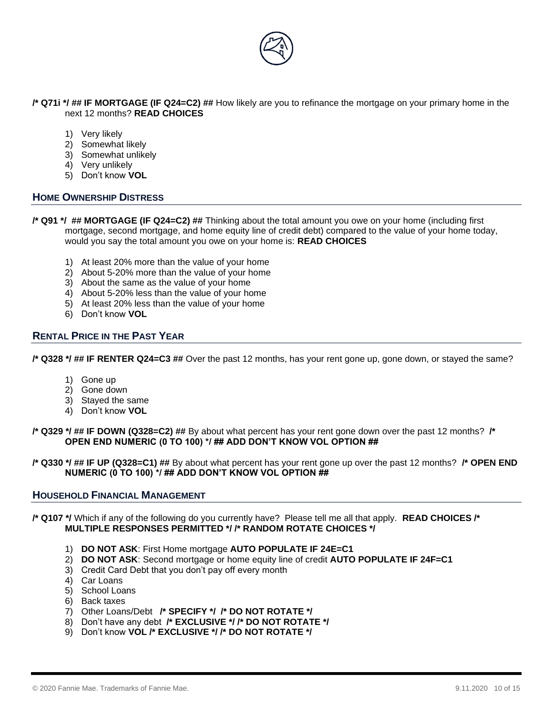

**/\* Q71i \*/ ## IF MORTGAGE (IF Q24=C2) ##** How likely are you to refinance the mortgage on your primary home in the next 12 months? **READ CHOICES**

- 1) Very likely
- 2) Somewhat likely
- 3) Somewhat unlikely
- 4) Very unlikely
- 5) Don't know **VOL**

## **HOME OWNERSHIP DISTRESS**

- **/\* Q91 \*/ ## MORTGAGE (IF Q24=C2) ##** Thinking about the total amount you owe on your home (including first mortgage, second mortgage, and home equity line of credit debt) compared to the value of your home today, would you say the total amount you owe on your home is: **READ CHOICES**
	- 1) At least 20% more than the value of your home
	- 2) About 5-20% more than the value of your home
	- 3) About the same as the value of your home
	- 4) About 5-20% less than the value of your home
	- 5) At least 20% less than the value of your home
	- 6) Don't know **VOL**

## **RENTAL PRICE IN THE PAST YEAR**

**/\* Q328 \*/ ## IF RENTER Q24=C3 ##** Over the past 12 months, has your rent gone up, gone down, or stayed the same?

- 1) Gone up
- 2) Gone down
- 3) Stayed the same
- 4) Don't know **VOL**

**/\* Q329 \*/ ## IF DOWN (Q328=C2) ##** By about what percent has your rent gone down over the past 12 months? **/\* OPEN END NUMERIC (0 TO 100) \*/ ## ADD DON'T KNOW VOL OPTION ##**

**/\* Q330 \*/ ## IF UP (Q328=C1) ##** By about what percent has your rent gone up over the past 12 months? **/\* OPEN END NUMERIC (0 TO 100) \*/ ## ADD DON'T KNOW VOL OPTION ##**

#### **HOUSEHOLD FINANCIAL MANAGEMENT**

**/\* Q107 \*/** Which if any of the following do you currently have? Please tell me all that apply. **READ CHOICES /\* MULTIPLE RESPONSES PERMITTED \*/ /\* RANDOM ROTATE CHOICES \*/** 

- 1) **DO NOT ASK**: First Home mortgage **AUTO POPULATE IF 24E=C1**
- 2) **DO NOT ASK**: Second mortgage or home equity line of credit **AUTO POPULATE IF 24F=C1**
- 3) Credit Card Debt that you don't pay off every month
- 4) Car Loans
- 5) School Loans
- 6) Back taxes
- 7) Other Loans/Debt **/\* SPECIFY \*/ /\* DO NOT ROTATE \*/**
- 8) Don't have any debt **/\* EXCLUSIVE \*/ /\* DO NOT ROTATE \*/**
- 9) Don't know **VOL /\* EXCLUSIVE \*/ /\* DO NOT ROTATE \*/**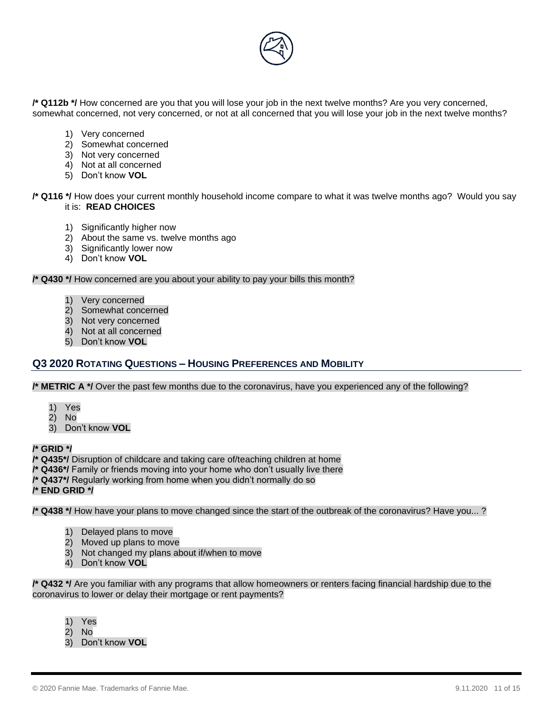

**/\* Q112b \*/** How concerned are you that you will lose your job in the next twelve months? Are you very concerned, somewhat concerned, not very concerned, or not at all concerned that you will lose your job in the next twelve months?

- 1) Very concerned
- 2) Somewhat concerned
- 3) Not very concerned
- 4) Not at all concerned
- 5) Don't know **VOL**

**/\* Q116 \*/** How does your current monthly household income compare to what it was twelve months ago? Would you say it is: **READ CHOICES**

- 1) Significantly higher now
- 2) About the same vs. twelve months ago
- 3) Significantly lower now
- 4) Don't know **VOL**

**/\* Q430 \*/** How concerned are you about your ability to pay your bills this month?

- 1) Very concerned
- 2) Somewhat concerned
- 3) Not very concerned
- 4) Not at all concerned
- 5) Don't know **VOL**

# **Q3 2020 ROTATING QUESTIONS – HOUSING PREFERENCES AND MOBILITY**

**/\* METRIC A \*/** Over the past few months due to the coronavirus, have you experienced any of the following?

- 1) Yes
- 2) No
- 3) Don't know **VOL**

### **/\* GRID \*/**

**/\* Q435\*/** Disruption of childcare and taking care of/teaching children at home

- **/\* Q436\*/** Family or friends moving into your home who don't usually live there
- **/\* Q437\*/** Regularly working from home when you didn't normally do so

**/\* END GRID \*/** 

**/\* Q438 \*/** How have your plans to move changed since the start of the outbreak of the coronavirus? Have you... ?

- 1) Delayed plans to move
- 2) Moved up plans to move
- 3) Not changed my plans about if/when to move
- 4) Don't know **VOL**

**/\* Q432 \*/** Are you familiar with any programs that allow homeowners or renters facing financial hardship due to the coronavirus to lower or delay their mortgage or rent payments?

- 1) Yes
- 2) No
- 3) Don't know **VOL**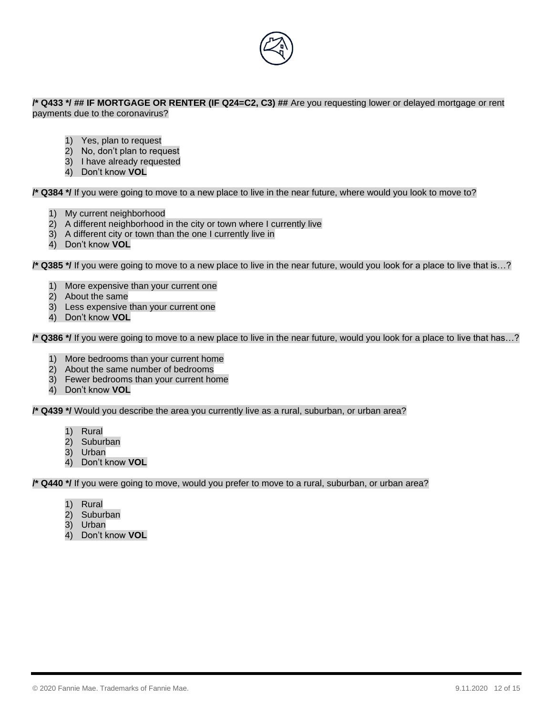

#### **/\* Q433 \*/ ## IF MORTGAGE OR RENTER (IF Q24=C2, C3) ##** Are you requesting lower or delayed mortgage or rent payments due to the coronavirus?

1) Yes, plan to request

- 2) No, don't plan to request
- 3) I have already requested
- 4) Don't know **VOL**

**/\* Q384 \*/** If you were going to move to a new place to live in the near future, where would you look to move to?

- 1) My current neighborhood
- 2) A different neighborhood in the city or town where I currently live
- 3) A different city or town than the one I currently live in
- 4) Don't know **VOL**

**/\* Q385 \*/** If you were going to move to a new place to live in the near future, would you look for a place to live that is…?

- 1) More expensive than your current one
- 2) About the same
- 3) Less expensive than your current one
- 4) Don't know **VOL**

**/\* Q386 \*/** If you were going to move to a new place to live in the near future, would you look for a place to live that has…?

- 1) More bedrooms than your current home
- 2) About the same number of bedrooms
- 3) Fewer bedrooms than your current home
- 4) Don't know **VOL**

**/\* Q439 \*/** Would you describe the area you currently live as a rural, suburban, or urban area?

- 1) Rural
- 2) Suburban
- 3) Urban
- 4) Don't know **VOL**

**/\* Q440 \*/** If you were going to move, would you prefer to move to a rural, suburban, or urban area?

- 1) Rural
- 2) Suburban
- 3) Urban
- 4) Don't know **VOL**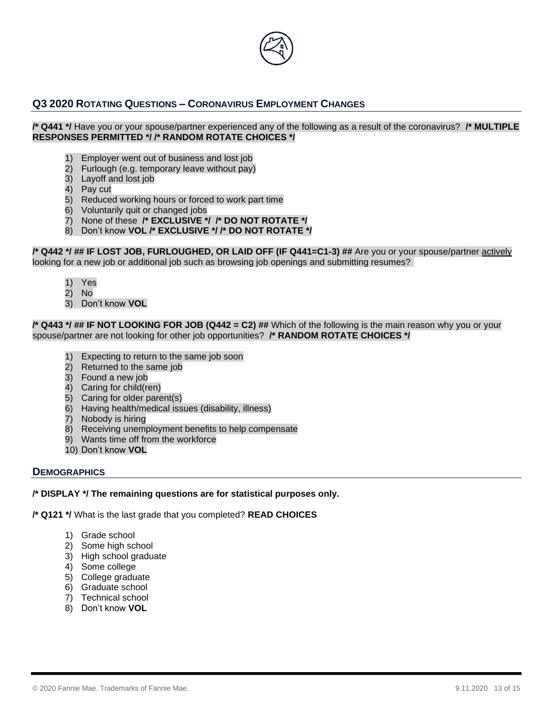

# **Q3 2020 ROTATING QUESTIONS – CORONAVIRUS EMPLOYMENT CHANGES**

#### **/\* Q441 \*/** Have you or your spouse/partner experienced any of the following as a result of the coronavirus? **/\* MULTIPLE RESPONSES PERMITTED \*/ /\* RANDOM ROTATE CHOICES \*/**

- Employer went out of business and lost job
- 2) Furlough (e.g. temporary leave without pay)
- 3) Layoff and lost job
- 4) Pay cut
- 5) Reduced working hours or forced to work part time
- 6) Voluntarily quit or changed jobs
- 7) None of these **/\* EXCLUSIVE \*/ /\* DO NOT ROTATE \*/**
- 8) Don't know **VOL /\* EXCLUSIVE \*/ /\* DO NOT ROTATE \*/**

**/\* Q442 \*/ ## IF LOST JOB, FURLOUGHED, OR LAID OFF (IF Q441=C1-3) ##** Are you or your spouse/partner actively looking for a new job or additional job such as browsing job openings and submitting resumes?

- 1) Yes
- 2) No
- 3) Don't know **VOL**

**/\* Q443 \*/ ## IF NOT LOOKING FOR JOB (Q442 = C2) ##** Which of the following is the main reason why you or your spouse/partner are not looking for other job opportunities? **/\* RANDOM ROTATE CHOICES \*/** 

- Expecting to return to the same job soon
- 2) Returned to the same job
- 3) Found a new job
- 4) Caring for child(ren)
- 5) Caring for older parent(s)
- 6) Having health/medical issues (disability, illness)
- 7) Nobody is hiring
- 8) Receiving unemployment benefits to help compensate
- 9) Wants time off from the workforce
- 10) Don't know **VOL**

## **DEMOGRAPHICS**

**/\* DISPLAY \*/ The remaining questions are for statistical purposes only.**

**/\* Q121 \*/** What is the last grade that you completed? **READ CHOICES**

- 1) Grade school
- 2) Some high school
- 3) High school graduate
- 4) Some college
- 5) College graduate
- 6) Graduate school
- 7) Technical school
- 8) Don't know **VOL**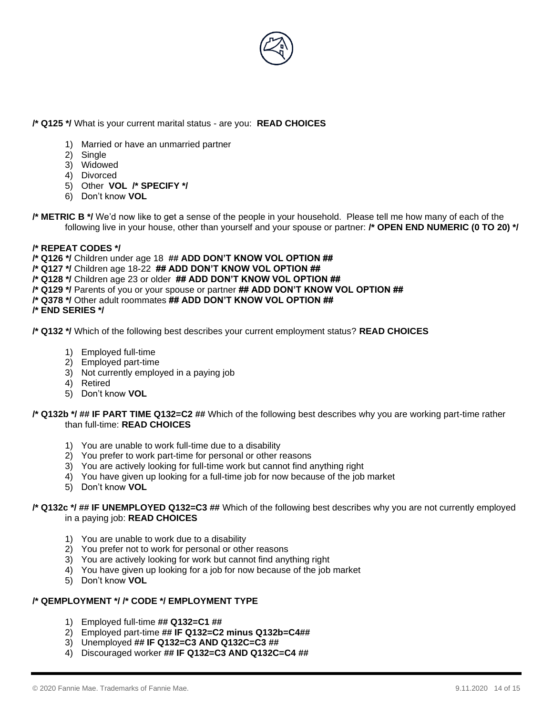

## **/\* Q125 \*/** What is your current marital status - are you: **READ CHOICES**

- 1) Married or have an unmarried partner
- 2) Single
- 3) Widowed
- 4) Divorced
- 5) Other **VOL /\* SPECIFY \*/**
- 6) Don't know **VOL**
- **/\* METRIC B \*/** We'd now like to get a sense of the people in your household. Please tell me how many of each of the following live in your house, other than yourself and your spouse or partner: **/\* OPEN END NUMERIC (0 TO 20) \*/**

#### **/\* REPEAT CODES \*/**

- **/\* Q126 \*/** Children under age 18 **## ADD DON'T KNOW VOL OPTION ##**
- **/\* Q127 \*/** Children age 18-22 **## ADD DON'T KNOW VOL OPTION ##**
- **/\* Q128 \*/** Children age 23 or older **## ADD DON'T KNOW VOL OPTION ##**
- **/\* Q129 \*/** Parents of you or your spouse or partner **## ADD DON'T KNOW VOL OPTION ##**
- **/\* Q378 \*/** Other adult roommates **## ADD DON'T KNOW VOL OPTION ##**
- **/\* END SERIES \*/**

**/\* Q132 \*/** Which of the following best describes your current employment status? **READ CHOICES**

- 1) Employed full-time
- 2) Employed part-time
- 3) Not currently employed in a paying job
- 4) Retired
- 5) Don't know **VOL**

#### **/\* Q132b \*/ ## IF PART TIME Q132=C2 ##** Which of the following best describes why you are working part-time rather than full-time: **READ CHOICES**

- 1) You are unable to work full-time due to a disability
- 2) You prefer to work part-time for personal or other reasons
- 3) You are actively looking for full-time work but cannot find anything right
- 4) You have given up looking for a full-time job for now because of the job market
- 5) Don't know **VOL**

#### **/\* Q132c \*/ ## IF UNEMPLOYED Q132=C3 ##** Which of the following best describes why you are not currently employed in a paying job: **READ CHOICES**

- 1) You are unable to work due to a disability
- 2) You prefer not to work for personal or other reasons
- 3) You are actively looking for work but cannot find anything right
- 4) You have given up looking for a job for now because of the job market
- 5) Don't know **VOL**

#### **/\* QEMPLOYMENT \*/ /\* CODE \*/ EMPLOYMENT TYPE**

- 1) Employed full-time **## Q132=C1 ##**
- 2) Employed part-time **## IF Q132=C2 minus Q132b=C4##**
- 3) Unemployed **## IF Q132=C3 AND Q132C=C3 ##**
- 4) Discouraged worker **## IF Q132=C3 AND Q132C=C4 ##**